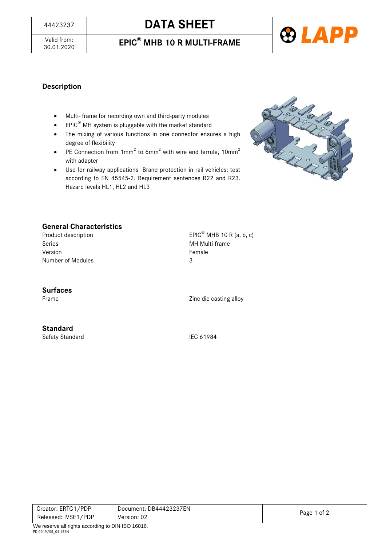# <sup>44423237</sup> **DATA SHEET**





#### **Description**

- Multi- frame for recording own and third-party modules
- $EPIC^®$  MH system is pluggable with the market standard
- The mixing of various functions in one connector ensures a high degree of flexibility
- PE Connection from  $1mm^2$  to 6mm<sup>2</sup> with wire end ferrule,  $10mm^2$ with adapter
- Use for railway applications -Brand protection in rail vehicles: test according to EN 45545-2. Requirement sentences R22 and R23. Hazard levels HL1, HL2 and HL3



## **General Characteristics**

Series **MH Multi-frame** Version **Female** Number of Modules 3

Product description EPIC<sup>®</sup> MHB 10 R (a, b, c)

#### **Surfaces**

Frame Zinc die casting alloy

# **Standard**

Safety Standard IEC 61984

| Creator: ERTC1/PDP  | Document: DB44423237EN | Page 1 of 2 |
|---------------------|------------------------|-------------|
| Released: IVSE1/PDP | Version: 02            |             |